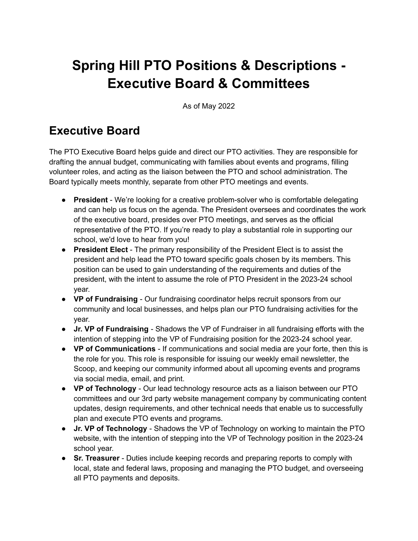## **Spring Hill PTO Positions & Descriptions - Executive Board & Committees**

As of May 2022

## **Executive Board**

The PTO Executive Board helps guide and direct our PTO activities. They are responsible for drafting the annual budget, communicating with families about events and programs, filling volunteer roles, and acting as the liaison between the PTO and school administration. The Board typically meets monthly, separate from other PTO meetings and events.

- **President** We're looking for a creative problem-solver who is comfortable delegating and can help us focus on the agenda. The President oversees and coordinates the work of the executive board, presides over PTO meetings, and serves as the official representative of the PTO. If you're ready to play a substantial role in supporting our school, we'd love to hear from you!
- **President Elect** The primary responsibility of the President Elect is to assist the president and help lead the PTO toward specific goals chosen by its members. This position can be used to gain understanding of the requirements and duties of the president, with the intent to assume the role of PTO President in the 2023-24 school year.
- **VP of Fundraising** Our fundraising coordinator helps recruit sponsors from our community and local businesses, and helps plan our PTO fundraising activities for the year.
- **Jr. VP of Fundraising** Shadows the VP of Fundraiser in all fundraising efforts with the intention of stepping into the VP of Fundraising position for the 2023-24 school year.
- **VP of Communications** If communications and social media are your forte, then this is the role for you. This role is responsible for issuing our weekly email newsletter, the Scoop, and keeping our community informed about all upcoming events and programs via social media, email, and print.
- **VP of Technology** Our lead technology resource acts as a liaison between our PTO committees and our 3rd party website management company by communicating content updates, design requirements, and other technical needs that enable us to successfully plan and execute PTO events and programs.
- **Jr. VP of Technology** Shadows the VP of Technology on working to maintain the PTO website, with the intention of stepping into the VP of Technology position in the 2023-24 school year.
- **Sr. Treasurer** Duties include keeping records and preparing reports to comply with local, state and federal laws, proposing and managing the PTO budget, and overseeing all PTO payments and deposits.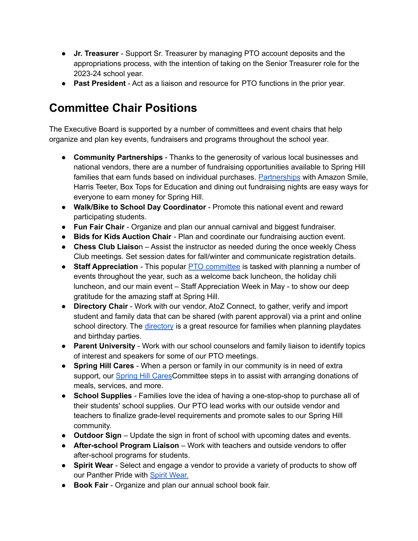- **Jr. Treasurer** Support Sr. Treasurer by managing PTO account deposits and the appropriations process, with the intention of taking on the Senior Treasurer role for the 2023-24 school year.
- **Past President** Act as a liaison and resource for PTO functions in the prior year.

## **Committee Chair Positions**

The Executive Board is supported by a number of committees and event chairs that help organize and plan key events, fundraisers and programs throughout the school year.

- **Community Partnerships** Thanks to the generosity of various local businesses and national vendors, there are a number of fundraising opportunities available to Spring Hill families that earn funds based on individual purchases. [Partnerships](https://springhillpto.org/support/) with Amazon Smile, Harris Teeter, Box Tops for Education and dining out fundraising nights are easy ways for everyone to earn money for Spring Hill.
- **Walk/Bike to School Day Coordinator** Promote this national event and reward participating students.
- **Fun Fair Chair** Organize and plan our annual carnival and biggest fundraiser.
- **Bids for Kids Auction Chair** Plan and coordinate our fundraising auction event.
- **Chess Club Liaiso**n Assist the instructor as needed during the once weekly Chess Club meetings. Set session dates for fall/winter and communicate registration details.
- **Staff Appreciation** This popular **PTO** [committee](https://springhillpto.org/staff-appreciation/) is tasked with planning a number of events throughout the year, such as a welcome back luncheon, the holiday chili luncheon, and our main event – Staff Appreciation Week in May - to show our deep gratitude for the amazing staff at Spring Hill.
- **Directory Chair** Work with our vendor, AtoZ Connect, to gather, verify and import student and family data that can be shared (with parent approval) via a print and online school [directory](https://springhillpto.org/directory/). The *directory* is a great resource for families when planning playdates and birthday parties.
- **Parent University** Work with our school counselors and family liaison to identify topics of interest and speakers for some of our PTO meetings.
- **Spring Hill Cares** When a person or family in our community is in need of extra support, our [Spring](https://springhillpto.org/spring-hill-cares/) Hill CaresCommittee steps in to assist with arranging donations of meals, services, and more.
- **School Supplies** Families love the idea of having a one-stop-shop to purchase all of their students' school supplies. Our PTO lead works with our outside vendor and teachers to finalize grade-level requirements and promote sales to our Spring Hill community.
- **Outdoor Sign** Update the sign in front of school with upcoming dates and events.
- **After-school Program Liaison** Work with teachers and outside vendors to offer after-school programs for students.
- **Spirit Wear** Select and engage a vendor to provide a variety of products to show off our Panther Pride with Spirit [Wear.](https://springhillpto.org/spirit-wear/)
- **Book Fair** Organize and plan our annual school book fair.